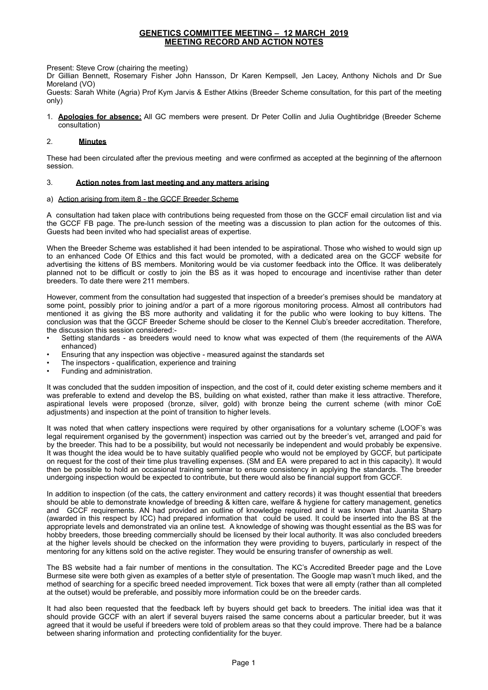Present: Steve Crow (chairing the meeting)

Dr Gillian Bennett, Rosemary Fisher John Hansson, Dr Karen Kempsell, Jen Lacey, Anthony Nichols and Dr Sue Moreland (VO)

Guests: Sarah White (Agria) Prof Kym Jarvis & Esther Atkins (Breeder Scheme consultation, for this part of the meeting only)

1. **Apologies for absence:** All GC members were present. Dr Peter Collin and Julia Oughtibridge (Breeder Scheme consultation)

# 2. **Minutes**

These had been circulated after the previous meeting and were confirmed as accepted at the beginning of the afternoon session.

# 3. **Action notes from last meeting and any matters arising**

## a) Action arising from item 8 - the GCCF Breeder Scheme

A consultation had taken place with contributions being requested from those on the GCCF email circulation list and via the GCCF FB page. The pre-lunch session of the meeting was a discussion to plan action for the outcomes of this. Guests had been invited who had specialist areas of expertise.

When the Breeder Scheme was established it had been intended to be aspirational. Those who wished to would sign up to an enhanced Code Of Ethics and this fact would be promoted, with a dedicated area on the GCCF website for advertising the kittens of BS members. Monitoring would be via customer feedback into the Office. It was deliberately planned not to be difficult or costly to join the BS as it was hoped to encourage and incentivise rather than deter breeders. To date there were 211 members.

However, comment from the consultation had suggested that inspection of a breeder's premises should be mandatory at some point, possibly prior to joining and/or a part of a more rigorous monitoring process. Almost all contributors had mentioned it as giving the BS more authority and validating it for the public who were looking to buy kittens. The conclusion was that the GCCF Breeder Scheme should be closer to the Kennel Club's breeder accreditation. Therefore, the discussion this session considered:-

- Setting standards as breeders would need to know what was expected of them (the requirements of the AWA enhanced)
- Ensuring that any inspection was objective measured against the standards set
- The inspectors qualification, experience and training
- Funding and administration.

It was concluded that the sudden imposition of inspection, and the cost of it, could deter existing scheme members and it was preferable to extend and develop the BS, building on what existed, rather than make it less attractive. Therefore, aspirational levels were proposed (bronze, silver, gold) with bronze being the current scheme (with minor CoE adjustments) and inspection at the point of transition to higher levels.

It was noted that when cattery inspections were required by other organisations for a voluntary scheme (LOOF's was legal requirement organised by the government) inspection was carried out by the breeder's vet, arranged and paid for by the breeder. This had to be a possibility, but would not necessarily be independent and would probably be expensive. It was thought the idea would be to have suitably qualified people who would not be employed by GCCF, but participate on request for the cost of their time plus travelling expenses. (SM and EA were prepared to act in this capacity). It would then be possible to hold an occasional training seminar to ensure consistency in applying the standards. The breeder undergoing inspection would be expected to contribute, but there would also be financial support from GCCF.

In addition to inspection (of the cats, the cattery environment and cattery records) it was thought essential that breeders should be able to demonstrate knowledge of breeding & kitten care, welfare & hygiene for cattery management, genetics and GCCF requirements. AN had provided an outline of knowledge required and it was known that Juanita Sharp (awarded in this respect by ICC) had prepared information that could be used. It could be inserted into the BS at the appropriate levels and demonstrated via an online test. A knowledge of showing was thought essential as the BS was for hobby breeders, those breeding commercially should be licensed by their local authority. It was also concluded breeders at the higher levels should be checked on the information they were providing to buyers, particularly in respect of the mentoring for any kittens sold on the active register. They would be ensuring transfer of ownership as well.

The BS website had a fair number of mentions in the consultation. The KC's Accredited Breeder page and the Love Burmese site were both given as examples of a better style of presentation. The Google map wasn't much liked, and the method of searching for a specific breed needed improvement. Tick boxes that were all empty (rather than all completed at the outset) would be preferable, and possibly more information could be on the breeder cards.

It had also been requested that the feedback left by buyers should get back to breeders. The initial idea was that it should provide GCCF with an alert if several buyers raised the same concerns about a particular breeder, but it was agreed that it would be useful if breeders were told of problem areas so that they could improve. There had be a balance between sharing information and protecting confidentiality for the buyer.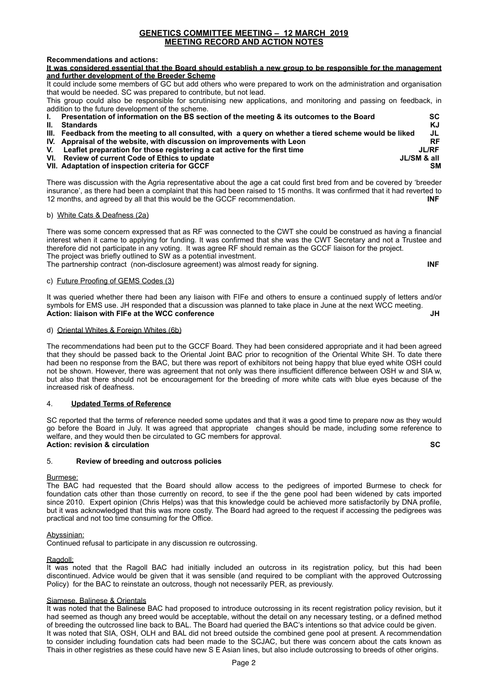## **Recommendations and actions:**

**It was considered essential that the Board should establish a new group to be responsible for the management and further development of the Breeder Scheme** 

It could include some members of GC but add others who were prepared to work on the administration and organisation that would be needed. SC was prepared to contribute, but not lead.

This group could also be responsible for scrutinising new applications, and monitoring and passing on feedback, in addition to the future development of the scheme.

**I. Presentation of information on the BS section of the meeting & its outcomes to the Board SC II. Standards KJ III. Feedback from the meeting to all consulted, with a query on whether a tiered scheme would be liked JL**  IV. Appraisal of the website, with discussion on improvements with Leon **RE INCO INCO INCO INCO INCO INCO INCO**<br>V. Leaflet preparation for those registering a cat active for the first time **V.** Leaflet preparation for those registering a cat active for the first time JURF **VI.** Review of current Code of Ethics to update **VI. Review of current Code of Ethics to update VII. Adaptation of inspection criteria for GCCF SM** 

There was discussion with the Agria representative about the age a cat could first bred from and be covered by 'breeder insurance', as there had been a complaint that this had been raised to 15 months. It was confirmed that it had reverted to 12 months, and agreed by all that this would be the GCCF recommendation. **INF**

## b) White Cats & Deafness (2a)

There was some concern expressed that as RF was connected to the CWT she could be construed as having a financial interest when it came to applying for funding. It was confirmed that she was the CWT Secretary and not a Trustee and therefore did not participate in any voting. It was agree RF should remain as the GCCF liaison for the project. The project was briefly outlined to SW as a potential investment. The partnership contract (non-disclosure agreement) was almost ready for signing. **INF**

## c) Future Proofing of GEMS Codes (3)

It was queried whether there had been any liaison with FIFe and others to ensure a continued supply of letters and/or symbols for EMS use. JH responded that a discussion was planned to take place in June at the next WCC meeting. **Action: liaison with FIFe at the WCC conference Action: Action: Action: Action: Action: Action: Action: Action: Action: Action: Action: Action: Action: Action: Action: Action: Action: Action: Action: Action: Action: Actio** 

# d) Oriental Whites & Foreign Whites (6b)

The recommendations had been put to the GCCF Board. They had been considered appropriate and it had been agreed that they should be passed back to the Oriental Joint BAC prior to recognition of the Oriental White SH. To date there had been no response from the BAC, but there was report of exhibitors not being happy that blue eyed white OSH could not be shown. However, there was agreement that not only was there insufficient difference between OSH w and SIA w, but also that there should not be encouragement for the breeding of more white cats with blue eyes because of the increased risk of deafness.

#### 4. **Updated Terms of Reference**

SC reported that the terms of reference needed some updates and that it was a good time to prepare now as they would go before the Board in July. It was agreed that appropriate changes should be made, including some reference to welfare, and they would then be circulated to GC members for approval. **Action: revision & circulation SC**  $\overline{S}$  **SC** 

# 5. **Review of breeding and outcross policies**

## Burmese:

The BAC had requested that the Board should allow access to the pedigrees of imported Burmese to check for foundation cats other than those currently on record, to see if the the gene pool had been widened by cats imported since 2010. Expert opinion (Chris Helps) was that this knowledge could be achieved more satisfactorily by DNA profile, but it was acknowledged that this was more costly. The Board had agreed to the request if accessing the pedigrees was practical and not too time consuming for the Office.

## Abyssinian:

Continued refusal to participate in any discussion re outcrossing.

#### Ragdoll:

It was noted that the Ragoll BAC had initially included an outcross in its registration policy, but this had been discontinued. Advice would be given that it was sensible (and required to be compliant with the approved Outcrossing Policy) for the BAC to reinstate an outcross, though not necessarily PER, as previously.

## Siamese, Balinese & Orientals

It was noted that the Balinese BAC had proposed to introduce outcrossing in its recent registration policy revision, but it had seemed as though any breed would be acceptable, without the detail on any necessary testing, or a defined method of breeding the outcrossed line back to BAL. The Board had queried the BAC's intentions so that advice could be given. It was noted that SIA, OSH, OLH and BAL did not breed outside the combined gene pool at present. A recommendation to consider including foundation cats had been made to the SCJAC, but there was concern about the cats known as Thais in other registries as these could have new S E Asian lines, but also include outcrossing to breeds of other origins.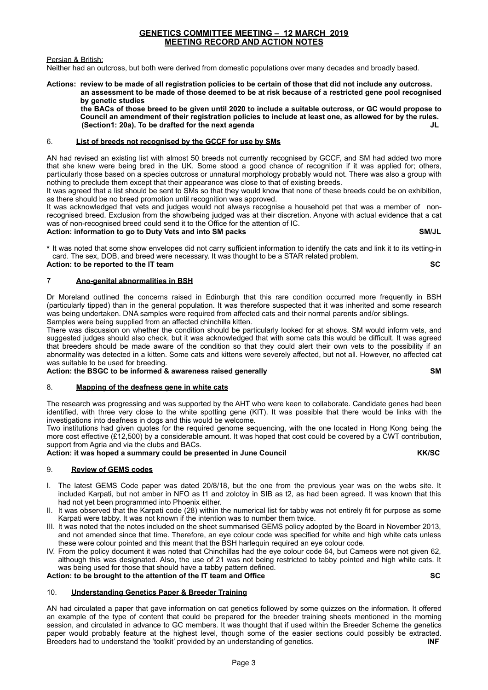# Persian & British:

Neither had an outcross, but both were derived from domestic populations over many decades and broadly based.

**Actions: review to be made of all registration policies to be certain of those that did not include any outcross. an assessment to be made of those deemed to be at risk because of a restricted gene pool recognised by genetic studies** 

 **the BACs of those breed to be given until 2020 to include a suitable outcross, or GC would propose to Council an amendment of their registration policies to include at least one, as allowed for by the rules. (Section1: 20a). To be drafted for the next agenda JL** 

# 6. **List of breeds not recognised by the GCCF for use by SMs**

AN had revised an existing list with almost 50 breeds not currently recognised by GCCF, and SM had added two more that she knew were being bred in the UK. Some stood a good chance of recognition if it was applied for; others, particularly those based on a species outcross or unnatural morphology probably would not. There was also a group with nothing to preclude them except that their appearance was close to that of existing breeds.

It was agreed that a list should be sent to SMs so that they would know that none of these breeds could be on exhibition, as there should be no breed promotion until recognition was approved.

It was acknowledged that vets and judges would not always recognise a household pet that was a member of nonrecognised breed. Exclusion from the show/being judged was at their discretion. Anyone with actual evidence that a cat was of non-recognised breed could send it to the Office for the attention of IC.

# **Action: information to go to Duty Vets and into SM packs SM/JL**

**\*** It was noted that some show envelopes did not carry sufficient information to identify the cats and link it to its vetting-in card. The sex, DOB, and breed were necessary. It was thought to be a STAR related problem. **Action: to be reported to the IT team SC**

# 7 **Ano-genital abnormalities in BSH**

Dr Moreland outlined the concerns raised in Edinburgh that this rare condition occurred more frequently in BSH (particularly tipped) than in the general population. It was therefore suspected that it was inherited and some research was being undertaken. DNA samples were required from affected cats and their normal parents and/or siblings. Samples were being supplied from an affected chinchilla kitten.

There was discussion on whether the condition should be particularly looked for at shows. SM would inform vets, and suggested judges should also check, but it was acknowledged that with some cats this would be difficult. It was agreed that breeders should be made aware of the condition so that they could alert their own vets to the possibility if an abnormality was detected in a kitten. Some cats and kittens were severely affected, but not all. However, no affected cat was suitable to be used for breeding.

# Action: the BSGC to be informed & awareness raised generally **SM SM**

## 8. **Mapping of the deafness gene in white cats**

The research was progressing and was supported by the AHT who were keen to collaborate. Candidate genes had been identified, with three very close to the white spotting gene (KIT). It was possible that there would be links with the investigations into deafness in dogs and this would be welcome.

Two institutions had given quotes for the required genome sequencing, with the one located in Hong Kong being the more cost effective (£12,500) by a considerable amount. It was hoped that cost could be covered by a CWT contribution, support from Agria and via the clubs and BACs.

# Action: it was hoped a summary could be presented in June Council **KK/SC KK/SC**

## 9. **Review of GEMS codes**

- I. The latest GEMS Code paper was dated 20/8/18, but the one from the previous year was on the webs site. It included Karpati, but not amber in NFO as t1 and zolotoy in SIB as t2, as had been agreed. It was known that this had not yet been programmed into Phoenix either.
- II. It was observed that the Karpati code (28) within the numerical list for tabby was not entirely fit for purpose as some Karpati were tabby. It was not known if the intention was to number them twice.
- III. It was noted that the notes included on the sheet summarised GEMS policy adopted by the Board in November 2013, and not amended since that time. Therefore, an eye colour code was specified for white and high white cats unless these were colour pointed and this meant that the BSH harlequin required an eye colour code.
- IV. From the policy document it was noted that Chinchillas had the eye colour code 64, but Cameos were not given 62, although this was designated. Also, the use of 21 was not being restricted to tabby pointed and high white cats. It was being used for those that should have a tabby pattern defined.

**Action: to be brought to the attention of the IT team and Office SC**

# 10. **Understanding Genetics Paper & Breeder Training**

AN had circulated a paper that gave information on cat genetics followed by some quizzes on the information. It offered an example of the type of content that could be prepared for the breeder training sheets mentioned in the morning session, and circulated in advance to GC members. It was thought that if used within the Breeder Scheme the genetics paper would probably feature at the highest level, though some of the easier sections could possibly be extracted.<br>Breeders had to understand the 'toolkit' provided by an understanding of genetics. Breeders had to understand the 'toolkit' provided by an understanding of genetics.